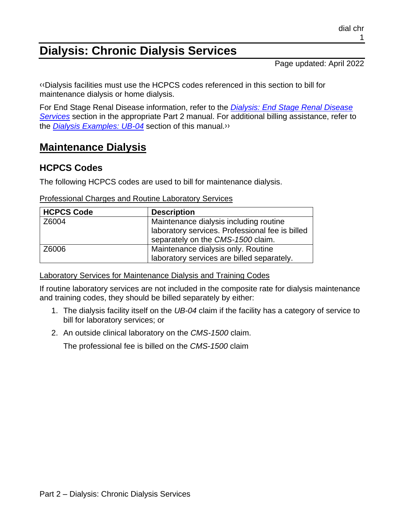# **Dialysis: Chronic Dialysis Services**

Page updated: April 2022

[‹‹D](#page-11-0)ialysis facilities must use the HCPCS codes referenced in this section to bill for maintenance dialysis or home dialysis.

For End Stage Renal Disease information, refer to the *[Dialysis: End Stage Renal Disease](https://files.medi-cal.ca.gov/pubsdoco/publications/masters-mtp/part2/dialend.pdf)  [Services](https://files.medi-cal.ca.gov/pubsdoco/publications/masters-mtp/part2/dialend.pdf)* section in the appropriate Part 2 manual. For additional billing assistance, refer to the *[Dialysis Examples: UB-04](https://files.medi-cal.ca.gov/pubsdoco/publications/masters-mtp/part2/dialexub.pdf)* section of this manual[.››](#page-11-1)

## **Maintenance Dialysis**

### **HCPCS Codes**

The following HCPCS codes are used to bill for maintenance dialysis.

| Professional Charges and Routine Laboratory Services |  |  |  |
|------------------------------------------------------|--|--|--|
|                                                      |  |  |  |

| <b>HCPCS Code</b> | <b>Description</b>                              |
|-------------------|-------------------------------------------------|
| Z6004             | Maintenance dialysis including routine          |
|                   | laboratory services. Professional fee is billed |
|                   | separately on the CMS-1500 claim.               |
| Z6006             | Maintenance dialysis only. Routine              |
|                   | laboratory services are billed separately.      |

Laboratory Services for Maintenance Dialysis and Training Codes

If routine laboratory services are not included in the composite rate for dialysis maintenance and training codes, they should be billed separately by either:

- 1. The dialysis facility itself on the *UB-04* claim if the facility has a category of service to bill for laboratory services; or
- 2. An outside clinical laboratory on the *CMS-1500* claim.

The professional fee is billed on the *CMS-1500* claim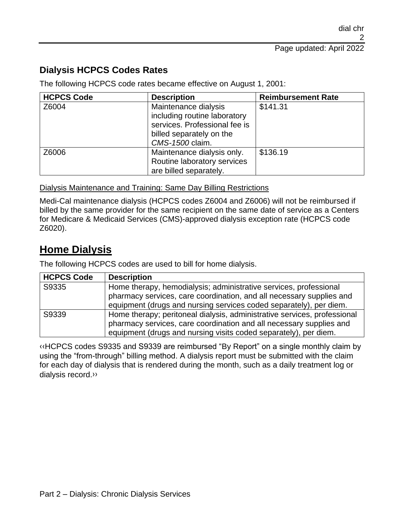### **Dialysis HCPCS Codes Rates**

The following HCPCS code rates became effective on August 1, 2001:

| <b>HCPCS Code</b> | <b>Description</b>            | <b>Reimbursement Rate</b> |
|-------------------|-------------------------------|---------------------------|
| Z6004             | Maintenance dialysis          | \$141.31                  |
|                   | including routine laboratory  |                           |
|                   | services. Professional fee is |                           |
|                   | billed separately on the      |                           |
|                   | CMS-1500 claim.               |                           |
| Z6006             | Maintenance dialysis only.    | \$136.19                  |
|                   | Routine laboratory services   |                           |
|                   | are billed separately.        |                           |

#### Dialysis Maintenance and Training: Same Day Billing Restrictions

Medi-Cal maintenance dialysis (HCPCS codes Z6004 and Z6006) will not be reimbursed if billed by the same provider for the same recipient on the same date of service as a Centers for Medicare & Medicaid Services (CMS)-approved dialysis exception rate (HCPCS code Z6020).

## **Home Dialysis**

The following HCPCS codes are used to bill for home dialysis.

| <b>HCPCS Code</b> | <b>Description</b>                                                       |
|-------------------|--------------------------------------------------------------------------|
| S9335             | Home therapy, hemodialysis; administrative services, professional        |
|                   | pharmacy services, care coordination, and all necessary supplies and     |
|                   | equipment (drugs and nursing services coded separately), per diem.       |
| S9339             | Home therapy; peritoneal dialysis, administrative services, professional |
|                   | pharmacy services, care coordination and all necessary supplies and      |
|                   | equipment (drugs and nursing visits coded separately), per diem.         |

[‹‹H](#page-11-0)CPCS codes S9335 and S9339 are reimbursed "By Report" on a single monthly claim by using the "from-through" billing method. A dialysis report must be submitted with the claim for each day of dialysis that is rendered during the month, such as a daily treatment log or dialysis record[.››](#page-11-1)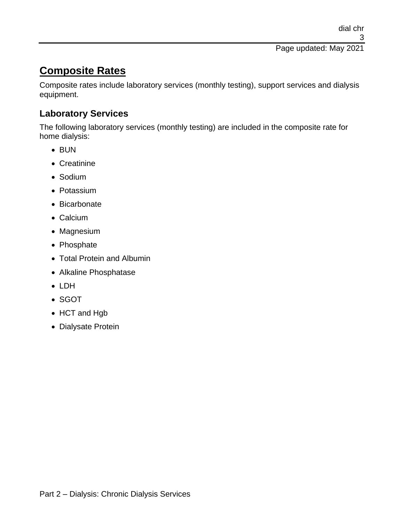Page updated: May 2021

## **Composite Rates**

Composite rates include laboratory services (monthly testing), support services and dialysis equipment.

### **Laboratory Services**

The following laboratory services (monthly testing) are included in the composite rate for home dialysis:

- BUN
- Creatinine
- Sodium
- Potassium
- Bicarbonate
- Calcium
- Magnesium
- Phosphate
- Total Protein and Albumin
- Alkaline Phosphatase
- LDH
- SGOT
- HCT and Hgb
- Dialysate Protein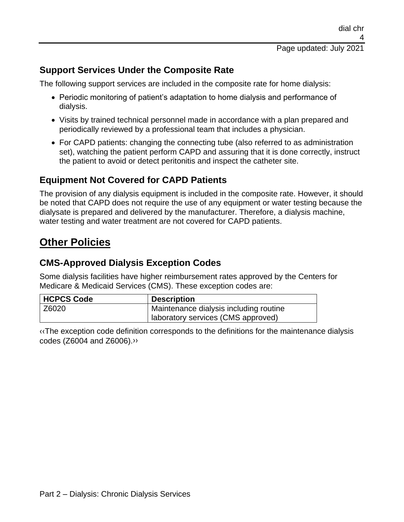### **Support Services Under the Composite Rate**

The following support services are included in the composite rate for home dialysis:

- Periodic monitoring of patient's adaptation to home dialysis and performance of dialysis.
- Visits by trained technical personnel made in accordance with a plan prepared and periodically reviewed by a professional team that includes a physician.
- For CAPD patients: changing the connecting tube (also referred to as administration set), watching the patient perform CAPD and assuring that it is done correctly, instruct the patient to avoid or detect peritonitis and inspect the catheter site.

### **Equipment Not Covered for CAPD Patients**

The provision of any dialysis equipment is included in the composite rate. However, it should be noted that CAPD does not require the use of any equipment or water testing because the dialysate is prepared and delivered by the manufacturer. Therefore, a dialysis machine, water testing and water treatment are not covered for CAPD patients.

## **Other Policies**

### **CMS-Approved Dialysis Exception Codes**

Some dialysis facilities have higher reimbursement rates approved by the Centers for Medicare & Medicaid Services (CMS). These exception codes are:

| <b>HCPCS Code</b> | <b>Description</b>                     |
|-------------------|----------------------------------------|
| Z6020             | Maintenance dialysis including routine |
|                   | laboratory services (CMS approved)     |

[‹‹T](#page-11-0)he exception code definition corresponds to the definitions for the maintenance dialysis codes (Z6004 and Z6006)[.››](#page-11-1)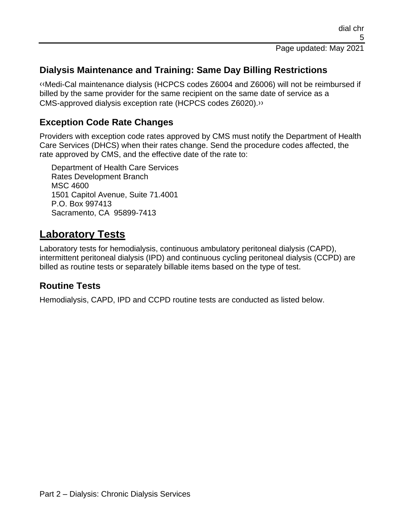### **Dialysis Maintenance and Training: Same Day Billing Restrictions**

[‹‹M](#page-11-0)edi-Cal maintenance dialysis (HCPCS codes Z6004 and Z6006) will not be reimbursed if billed by the same provider for the same recipient on the same date of service as a CMS-approved dialysis exception rate (HCPCS codes Z6020)[.››](#page-11-1)

### **Exception Code Rate Changes**

Providers with exception code rates approved by CMS must notify the Department of Health Care Services (DHCS) when their rates change. Send the procedure codes affected, the rate approved by CMS, and the effective date of the rate to:

Department of Health Care Services Rates Development Branch MSC 4600 1501 Capitol Avenue, Suite 71.4001 P.O. Box 997413 Sacramento, CA 95899-7413

## **Laboratory Tests**

Laboratory tests for hemodialysis, continuous ambulatory peritoneal dialysis (CAPD), intermittent peritoneal dialysis (IPD) and continuous cycling peritoneal dialysis (CCPD) are billed as routine tests or separately billable items based on the type of test.

### **Routine Tests**

Hemodialysis, CAPD, IPD and CCPD routine tests are conducted as listed below.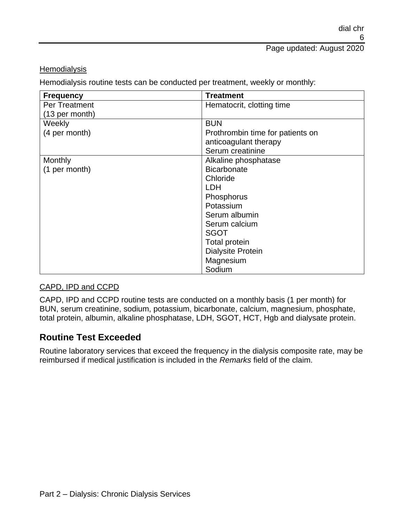**Hemodialysis** 

Hemodialysis routine tests can be conducted per treatment, weekly or monthly:

| <b>Frequency</b>         | <b>Treatment</b>                 |
|--------------------------|----------------------------------|
| <b>Per Treatment</b>     | Hematocrit, clotting time        |
| $(13 \text{ per month})$ |                                  |
| Weekly                   | <b>BUN</b>                       |
| (4 per month)            | Prothrombin time for patients on |
|                          | anticoagulant therapy            |
|                          | Serum creatinine                 |
| Monthly                  | Alkaline phosphatase             |
| (1 per month)            | <b>Bicarbonate</b>               |
|                          | Chloride                         |
|                          | <b>LDH</b>                       |
|                          | Phosphorus                       |
|                          | Potassium                        |
|                          | Serum albumin                    |
|                          | Serum calcium                    |
|                          | <b>SGOT</b>                      |
|                          | Total protein                    |
|                          | <b>Dialysite Protein</b>         |
|                          | Magnesium                        |
|                          | Sodium                           |

#### CAPD, IPD and CCPD

CAPD, IPD and CCPD routine tests are conducted on a monthly basis (1 per month) for BUN, serum creatinine, sodium, potassium, bicarbonate, calcium, magnesium, phosphate, total protein, albumin, alkaline phosphatase, LDH, SGOT, HCT, Hgb and dialysate protein.

#### **Routine Test Exceeded**

Routine laboratory services that exceed the frequency in the dialysis composite rate, may be reimbursed if medical justification is included in the *Remarks* field of the claim.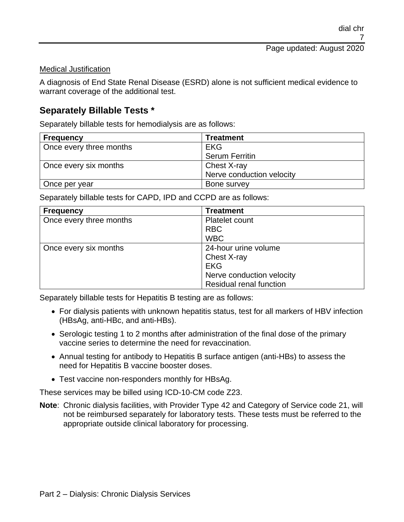#### Medical Justification

A diagnosis of End State Renal Disease (ESRD) alone is not sufficient medical evidence to warrant coverage of the additional test.

#### **Separately Billable Tests \***

Separately billable tests for hemodialysis are as follows:

| <b>Frequency</b>        | <b>Treatment</b>          |
|-------------------------|---------------------------|
| Once every three months | EKG                       |
|                         | <b>Serum Ferritin</b>     |
| Once every six months   | Chest X-ray               |
|                         | Nerve conduction velocity |
| Once per year           | Bone survey               |

Separately billable tests for CAPD, IPD and CCPD are as follows:

| <b>Frequency</b>        | <b>Treatment</b>               |
|-------------------------|--------------------------------|
| Once every three months | Platelet count                 |
|                         | <b>RBC</b>                     |
|                         | <b>WBC</b>                     |
| Once every six months   | 24-hour urine volume           |
|                         | Chest X-ray                    |
|                         | <b>EKG</b>                     |
|                         | Nerve conduction velocity      |
|                         | <b>Residual renal function</b> |

Separately billable tests for Hepatitis B testing are as follows:

- For dialysis patients with unknown hepatitis status, test for all markers of HBV infection (HBsAg, anti-HBc, and anti-HBs).
- Serologic testing 1 to 2 months after administration of the final dose of the primary vaccine series to determine the need for revaccination.
- Annual testing for antibody to Hepatitis B surface antigen (anti-HBs) to assess the need for Hepatitis B vaccine booster doses.
- Test vaccine non-responders monthly for HBsAg.

These services may be billed using ICD-10-CM code Z23.

**Note**: Chronic dialysis facilities, with Provider Type 42 and Category of Service code 21, will not be reimbursed separately for laboratory tests. These tests must be referred to the appropriate outside clinical laboratory for processing.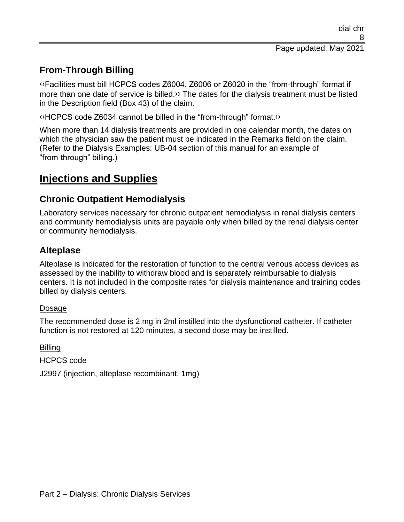### **From-Through Billing**

[‹‹F](#page-11-0)acilities must bill HCPCS codes Z6004, Z6006 or Z6020 in the "from-through" format if more than one date of service is billed.» The dates for the dialysis treatment must be listed in the Description field (Box 43) of the claim.

[‹‹H](#page-11-0)CPCS code Z6034 cannot be billed in the "from-through" format[.››](#page-11-1)

When more than 14 dialysis treatments are provided in one calendar month, the dates on which the physician saw the patient must be indicated in the Remarks field on the claim. (Refer to the Dialysis Examples: UB-04 section of this manual for an example of "from-through" billing.)

## **Injections and Supplies**

### **Chronic Outpatient Hemodialysis**

Laboratory services necessary for chronic outpatient hemodialysis in renal dialysis centers and community hemodialysis units are payable only when billed by the renal dialysis center or community hemodialysis.

### **Alteplase**

Alteplase is indicated for the restoration of function to the central venous access devices as assessed by the inability to withdraw blood and is separately reimbursable to dialysis centers. It is not included in the composite rates for dialysis maintenance and training codes billed by dialysis centers.

#### Dosage

The recommended dose is 2 mg in 2ml instilled into the dysfunctional catheter. If catheter function is not restored at 120 minutes, a second dose may be instilled.

**Billing** 

HCPCS code

J2997 (injection, alteplase recombinant, 1mg)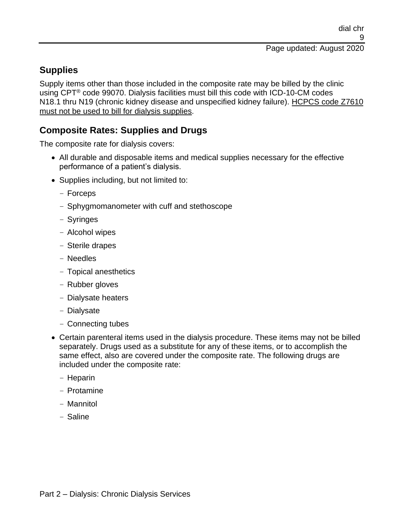### **Supplies**

Supply items other than those included in the composite rate may be billed by the clinic using CPT® code 99070. Dialysis facilities must bill this code with ICD-10-CM codes N18.1 thru N19 (chronic kidney disease and unspecified kidney failure). HCPCS code Z7610 must not be used to bill for dialysis supplies.

### **Composite Rates: Supplies and Drugs**

The composite rate for dialysis covers:

- All durable and disposable items and medical supplies necessary for the effective performance of a patient's dialysis.
- Supplies including, but not limited to:
	- Forceps
	- Sphygmomanometer with cuff and stethoscope
	- Syringes
	- Alcohol wipes
	- Sterile drapes
	- Needles
	- Topical anesthetics
	- Rubber gloves
	- Dialysate heaters
	- Dialysate
	- Connecting tubes
- Certain parenteral items used in the dialysis procedure. These items may not be billed separately. Drugs used as a substitute for any of these items, or to accomplish the same effect, also are covered under the composite rate. The following drugs are included under the composite rate:
	- Heparin
	- Protamine
	- Mannitol
	- Saline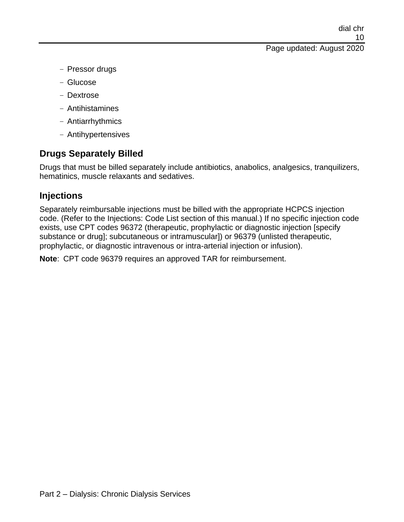#### Page updated: August 2020

- Pressor drugs
- Glucose
- Dextrose
- Antihistamines
- Antiarrhythmics
- Antihypertensives

### **Drugs Separately Billed**

Drugs that must be billed separately include antibiotics, anabolics, analgesics, tranquilizers, hematinics, muscle relaxants and sedatives.

### **Injections**

Separately reimbursable injections must be billed with the appropriate HCPCS injection code. (Refer to the Injections: Code List section of this manual.) If no specific injection code exists, use CPT codes 96372 (therapeutic, prophylactic or diagnostic injection [specify substance or drug]; subcutaneous or intramuscular]) or 96379 (unlisted therapeutic, prophylactic, or diagnostic intravenous or intra-arterial injection or infusion).

**Note**: CPT code 96379 requires an approved TAR for reimbursement.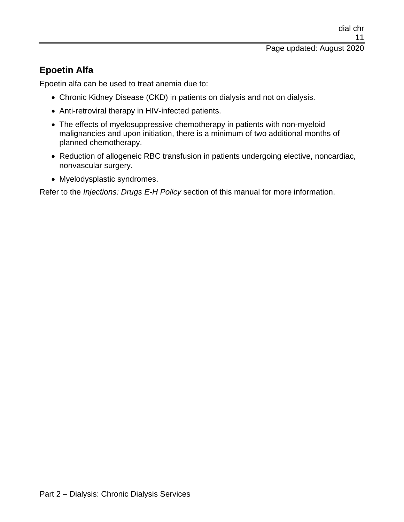### **Epoetin Alfa**

Epoetin alfa can be used to treat anemia due to:

- Chronic Kidney Disease (CKD) in patients on dialysis and not on dialysis.
- Anti-retroviral therapy in HIV-infected patients.
- The effects of myelosuppressive chemotherapy in patients with non-myeloid malignancies and upon initiation, there is a minimum of two additional months of planned chemotherapy.
- Reduction of allogeneic RBC transfusion in patients undergoing elective, noncardiac, nonvascular surgery.
- Myelodysplastic syndromes.

Refer to the *Injections: Drugs E-H Policy* section of this manual for more information.